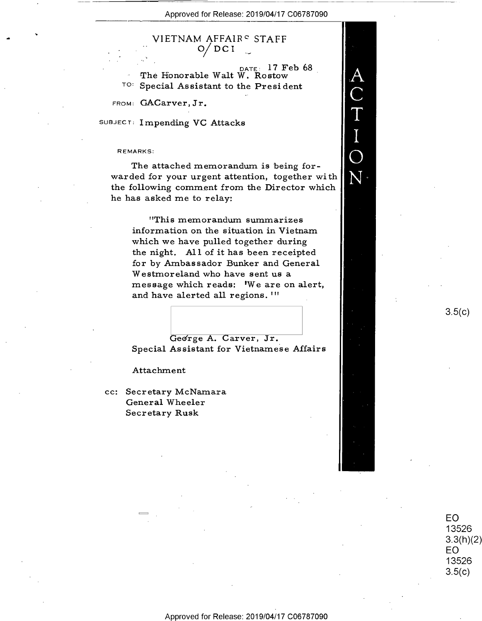${\rm AC}\atop{\rm C}{\rm T}\atop{\rm I}{\rm I}$ 

N.

VIETNAM AFFAIR° STAFF  $^{\prime}$  DC I

 $_{\text{DATE}:}$  17 Feb 68 The Honorable Walt  $\overline{W}$ . Rostow TO: Special Assistant to the Presid Special Assistant to the President

FROM: GACarver, Jr.

SUBJECT: Impending VC Attacks

## REMARKS!

The attached memorandum is being forwarded for your urgent attention, together with the following comment from the Director which he has asked me to relay:

"This memorandum summarizes information on the situation in Vietnam which we have pulled together during the night. All of it has been receipted for by Ambassador Bunker and General Westmoreland who have sent us a message which reads: 'We are on alert, and have alerted all regions. "'

George A. Carver, Jr. Special Assistant for Vietnamese Affairs

## Attachment

in

cc: Secr etary McNamara General Wheeler Secr etary Rusk

 $3.5(c)$ 

EO 13526  $3.3(h)(2)$ EO 13526  $3.5(c)$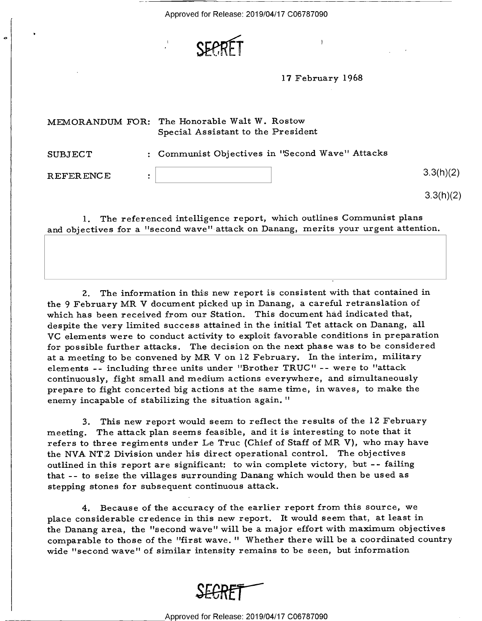

<sup>1</sup>7 February l 968

 $\mathbf{I}$ 

|                  | MEMORANDUM FOR: The Honorable Walt W. Rostow<br>Special Assistant to the President |           |
|------------------|------------------------------------------------------------------------------------|-----------|
| SUBJECT          | : Communist Objectives in "Second Wave" Attacks                                    |           |
| <b>REFERENCE</b> |                                                                                    | 3.3(h)(2) |
|                  |                                                                                    | 3.3(h)(2) |

l. The referenced intelligence report, which outlines Communist plans and objectives for a "second wave" attack on Danang, merits your urgent attention.

2. The information in this new report is consistent with that contained in the 9 February MR V document picked up in Danang, a careful retranslation of which has been received from our Station. This document had indicated that, despite the very limited success attained in the initial Tet attack on Danang, all VG elements were to conduct activity to exploit favorable conditions in preparation for possible further attacks. The decision on the next phase was to be considered at a meeting to be convened by MR V on l2 February. In the interim, military elements -- including three units under "Brother TRUC" -- were to "attack continuously, fight small and medium actions everywhere, and simultaneously prepare to fight concerted big actions at the same time, in waves, to make the enemy incapable of stabilizing the situation again. "

3. This new report would seem to reflect the results of the 12 February meeting. The attack plan seems feasible, and it is interesting to note that it refers to three regiments under Le Truc (Chief of Staff of MR V), who may have the NVA NT<sub>2</sub> Division under his direct operational control. The objectives outlined in this report are significant: to win complete victory, but —- failing that -- to seize the villages surrounding Danang which would then be used as stepping stones for subsequent continuous attack.

4. Because of the accuracy of the earlier report from this source, we place considerable credence in this new report. It would seem that, at least in the Danang area, the "second wave" will be a major effort with maximum objectives comparable to those of the "first wave." Whether there will be a coordinated country wide "second wave" of similar intensity remains to be seen, but information

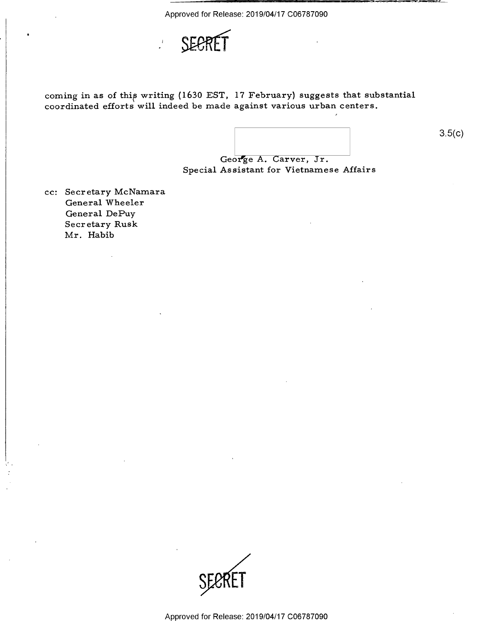

coming in as of this writing (1630 EST, 17 February) suggests that substantial coordinated efforts will indeed be made against various urban centers.

 $3.5(c)$ 

George A. Carver, Jr. Special Assistant for Vietnamese Affairs

cc: Secretary McNamara General Wheeler General DePuy Secretary Rusk Mr. Habib